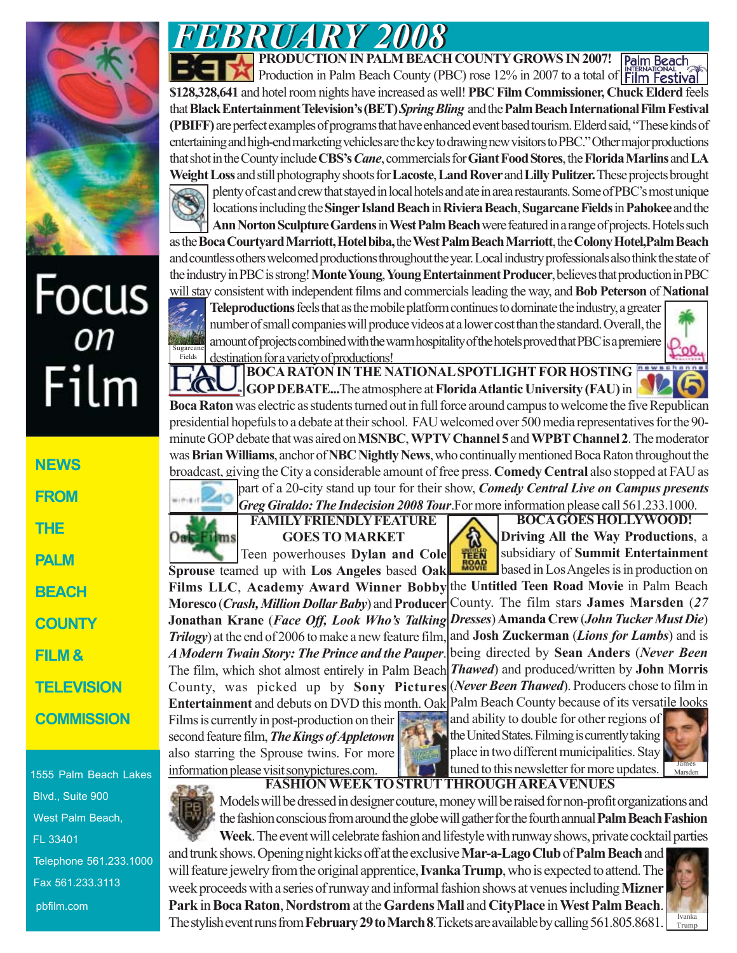

## Focus<br><sub>on</sub>  $Flim$

| NEWS              |
|-------------------|
| <b>EROM</b>       |
| THE               |
| PALM              |
| BEACH             |
| <b>COUNTY</b>     |
| FILM &            |
| TELEVISION        |
| <b>COMMISSION</b> |
|                   |

1555 Palm Beach Lakes Blvd., Suite 900 West Palm Beach, FL 33401 Telephone 561.233.1000 Fax 561.233.3113 pbfilm.com

**PRODUCTION IN PALM BEACH COUNTY GROWS IN 2007!** Palm Beach Production in Palm Beach County (PBC) rose 12% in 2007 to a total of Film Festival **\$128,328,641** and hotel room nights have increased as well! **PBC Film Commissioner, Chuck Elderd** feels that **Black Entertainment Television's (BET)** *Spring Bling* and the **Palm Beach International Film Festival (PBIFF)** are perfect examples of programs that have enhanced event based tourism. Elderd said, "These kinds of entertaining and high-end marketing vehicles are the key to drawing new visitors to PBC." Other major productions that shot in the County include **CBS's** *Cane*, commercials for **Giant Food Stores**, the **Florida Marlins** and **LA Weight Loss** and still photography shoots for **Lacoste**, **Land Rover** and **Lilly Pulitzer.** These projectsbrought plenty of cast and crew that stayed in local hotels and ate in area restaurants. Some of PBC's most unique locations including the **Singer Island Beach** in **Riviera Beach**, **Sugarcane Fields** in **Pahokee** and the **Ann Norton Sculpture Gardens** in **West Palm Beach** were featured in a range of projects. Hotels such

as the **Boca Courtyard Marriott, Hotel biba,** the **West Palm Beach Marriott**, the **Colony Hotel,Palm Beach** and countless others welcomed productions throughout the year. Local industry professionals also think the state of the industry in PBC is strong! **Monte Young**, **Young Entertainment Producer**, believes that production in PBC will stay consistent with independent films and commercials leading the way, and **Bob Peterson** of **National**

**Teleproductions** feels that as the mobile platform continues to dominate the industry, a greater number of small companies will produce videos at a lower cost than the standard. Overall, the amount of projects combined with the warm hospitality of the hotels proved that PBC is a premiere destination for a variety of productions! Sugarcane Fields

**BOCA RATON IN THE NATIONAL SPOTLIGHT FOR HOSTING GOP DEBATE...**The atmosphere at **Florida Atlantic University (FAU)** in

**Boca Raton** was electric as students turned out in full force around campus to welcome the five Republican presidential hopefuls to a debate at their school. FAU welcomed over 500 media representatives for the 90 minute GOP debate that was aired on **MSNBC**, **WPTV Channel 5** and **WPBT Channel 2**. The moderator was **Brian Williams**, anchor of **NBC Nightly News**, who continually mentioned Boca Raton throughout the broadcast, giving the City a considerable amount of free press. **Comedy Central** also stopped at FAU as part of a 20-city stand up tour for their show, *Comedy Central Live on Campus presents*

**FAMILY FRIENDLY FEATURE** *Greg Giraldo: The Indecision 2008 Tour*.For more information please call 561.233.1000.

## **GOES TO MARKET**

Teen powerhouses **Dylan and Cole Sprouse** teamed up with **Los Angeles** based **Oak Films LLC**, **Academy Award Winner Bobby Moresco** (*Crash, Million Dollar Baby*) and **Producer Jonathan Krane** (*Face Off, Look Who's Talking Trilogy*) at the end of 2006 to make a new feature film, *A Modern Twain Story: The Prince and the Pauper*. The film, which shot almost entirely in Palm Beach *Thawed*) and produced/written by **John Morris** County, was picked up by **Sony Pictures Entertainment** and debuts on DVD this month. Oak Palm Beach County because of its versatile looks Films is currently in post-production on their second feature film, *The Kings of Appletown* also starring the Sprouse twins. For more information please visit sonypictures.com.

Oak Films

*FEBRUARY 2008 FEBRUARY 2008*

俞 TËËN **ROAP** 

**BOCA GOES HOLLYWOOD! Driving All the Way Productions**, a subsidiary of **Summit Entertainment** based in Los Angeles is in production on

the **Untitled Teen Road Movie** in Palm Beach County. The film stars **James Marsden** (*27 Dresses*) **Amanda Crew** (*John Tucker Must Die*) and **Josh Zuckerman** (*Lions for Lambs*) and is being directed by **Sean Anders** (*Never Been* (*Never Been Thawed*). Producers chose to film in

and ability to double for other regions of the United States. Filming is currently taking place in two different municipalities. Stay tuned to this newsletter for more updates.



**FASHION WEEK TO STRUT THROUGH AREA VENUES** Models will be dressed in designer couture, money will be raised for non-profit organizations and the fashion conscious from around the globe will gather for the fourth annual **Palm Beach Fashion**

**Week**. The event will celebrate fashion and lifestyle with runway shows, private cocktail parties and trunk shows. Opening night kicks off at the exclusive **Mar-a-Lago Club** of **Palm Beach** and will feature jewelry from the original apprentice, **Ivanka Trump**, who is expected to attend. The week proceeds with a series of runway and informal fashion shows at venues including **Mizner Park** in **Boca Raton**, **Nordstrom** at the **Gardens Mall** and **CityPlace** in **West Palm Beach**. The stylish event runs from **February 29 to March 8**.Tickets are available by calling 561.805.8681.